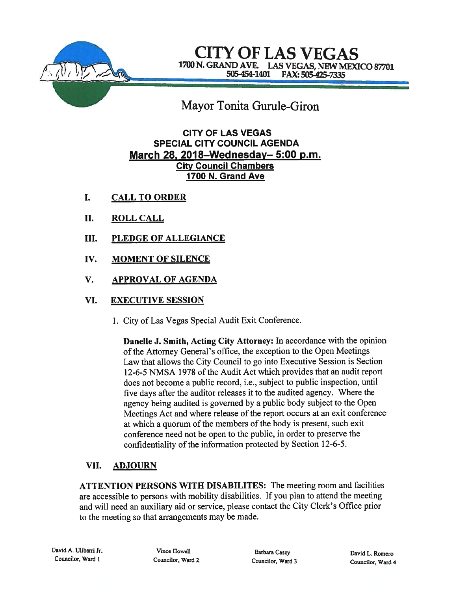

# CITY OF LAS VEGAS CITY OF LAS VEGAS 505-454-1401 FAX: 505-425-7335

# Mayor Tonita Gurule-Giron

## CITY OF LAS VEGAS SPECIAL CITY COUNCIL AGENDA March 28, 2018—Wednesday— 5:00 p.m. City Council Chambers 1700 N. Grand Ave

- I. CALL TO ORDER
- II. ROLL CALL
- III. PLEDGE OF ALLEGIANCE
- IV. MOMENT OF SILENCE
- V. APPROVAL OF AGENDA

## VI. EXECUTIVE SESSION

1. City of Las Vegas Special Audit Exit Conference.

Danelle J. Smith, Acting City Attorney: In accordance with the opinion of the Attorney General's office, the exception to the Open Meetings Law that allows the City Council to go into Executive Session is Section 12-6-5 NMSA 1978 of the Audit Act which provides that an audit repor<sup>t</sup> does not become <sup>a</sup> public record, i.e., subject to public inspection, until five days after the auditor releases it to the audited agency. Where the agency being audited is governe<sup>d</sup> by <sup>a</sup> public body subject to the Open Meetings Act and where release of the repor<sup>t</sup> occurs at an exit conference at which a quorum of the members of the body is present, such exit conference need not be open to the public, in order to preserve the confidentiality of the information protected by Section 12-6-5.

## VII. ADJOURN

ATTENTION PERSONS WITH DISABILITES: The meeting room and facilities are accessible to persons with mobility disabilities. If you <sup>p</sup>lan to attend the meeting and will need an auxiliary aid or service, <sup>p</sup>lease contact the City Clerk's Office prior to the meeting so that arrangements may be made.

Councilor, Ward 2 Councilor, Ward 3 Councilor, Ward 4